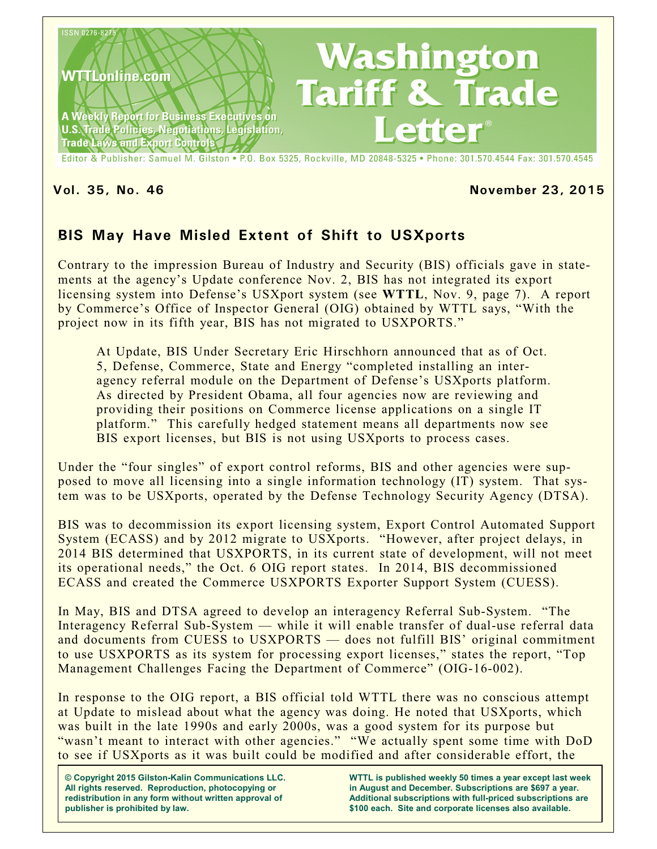

Editor & Publisher: Samuel M. Gilston . P.O. Box 5325, Rockville, MD 20848-5325 . Phone: 301.570.4544 Fax: 301.570.4545

#### **Vol. 35, No. 46 November 23, 2015**

# **BIS May Have Misled Extent of Shift to USXports**

Contrary to the impression Bureau of Industry and Security (BIS) officials gave in statements at the agency's Update conference Nov. 2, BIS has not integrated its export licensing system into Defense's USXport system (see **WTTL**, Nov. 9, page 7). A report by Commerce's Office of Inspector General (OIG) obtained by WTTL says, "With the project now in its fifth year, BIS has not migrated to USXPORTS."

At Update, BIS Under Secretary Eric Hirschhorn announced that as of Oct. 5, Defense, Commerce, State and Energy "completed installing an interagency referral module on the Department of Defense's USXports platform. As directed by President Obama, all four agencies now are reviewing and providing their positions on Commerce license applications on a single IT platform." This carefully hedged statement means all departments now see BIS export licenses, but BIS is not using USXports to process cases.

Under the "four singles" of export control reforms, BIS and other agencies were supposed to move all licensing into a single information technology (IT) system. That system was to be USXports, operated by the Defense Technology Security Agency (DTSA).

BIS was to decommission its export licensing system, Export Control Automated Support System (ECASS) and by 2012 migrate to USXports. "However, after project delays, in 2014 BIS determined that USXPORTS, in its current state of development, will not meet its operational needs," the Oct. 6 OIG report states. In 2014, BIS decommissioned ECASS and created the Commerce USXPORTS Exporter Support System (CUESS).

In May, BIS and DTSA agreed to develop an interagency Referral Sub-System. "The Interagency Referral Sub-System — while it will enable transfer of dual-use referral data and documents from CUESS to USXPORTS — does not fulfill BIS' original commitment to use USXPORTS as its system for processing export licenses," states the report, "Top Management Challenges Facing the Department of Commerce" (OIG-16-002).

In response to the OIG report, a BIS official told WTTL there was no conscious attempt at Update to mislead about what the agency was doing. He noted that USXports, which was built in the late 1990s and early 2000s, was a good system for its purpose but "wasn't meant to interact with other agencies." "We actually spent some time with DoD to see if USXports as it was built could be modified and after considerable effort, the

**© Copyright 2015 Gilston-Kalin Communications LLC. All rights reserved. Reproduction, photocopying or redistribution in any form without written approval of publisher is prohibited by law.** 

**WTTL is published weekly 50 times a year except last week in August and December. Subscriptions are \$697 a year. Additional subscriptions with full-priced subscriptions are \$100 each. Site and corporate licenses also available.**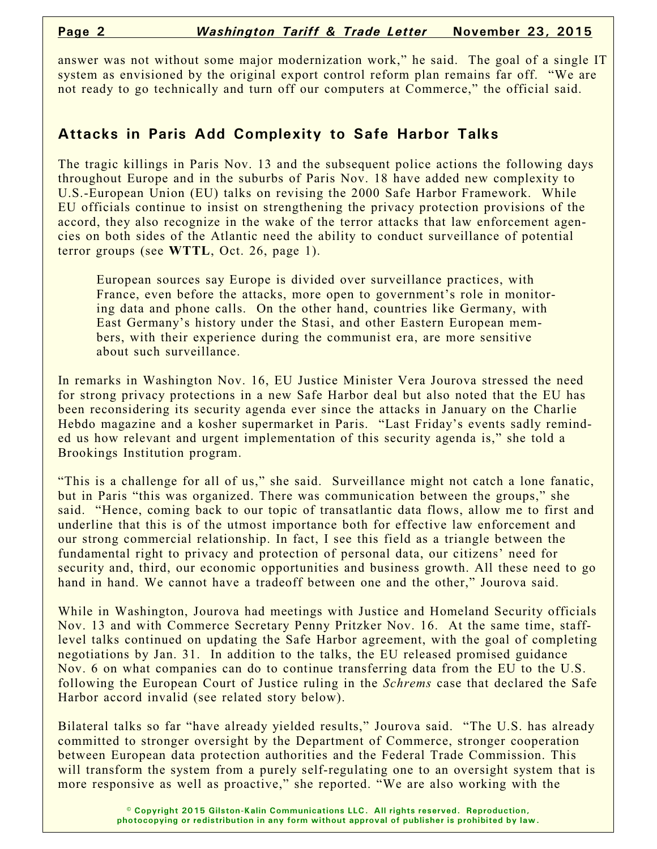answer was not without some major modernization work," he said. The goal of a single IT system as envisioned by the original export control reform plan remains far off. "We are not ready to go technically and turn off our computers at Commerce," the official said.

## **Attacks in Paris Add Complexity to Safe Harbor Talks**

The tragic killings in Paris Nov. 13 and the subsequent police actions the following days throughout Europe and in the suburbs of Paris Nov. 18 have added new complexity to U.S.-European Union (EU) talks on revising the 2000 Safe Harbor Framework. While EU officials continue to insist on strengthening the privacy protection provisions of the accord, they also recognize in the wake of the terror attacks that law enforcement agencies on both sides of the Atlantic need the ability to conduct surveillance of potential terror groups (see **WTTL**, Oct. 26, page 1).

European sources say Europe is divided over surveillance practices, with France, even before the attacks, more open to government's role in monitoring data and phone calls. On the other hand, countries like Germany, with East Germany's history under the Stasi, and other Eastern European members, with their experience during the communist era, are more sensitive about such surveillance.

In remarks in Washington Nov. 16, EU Justice Minister Vera Jourova stressed the need for strong privacy protections in a new Safe Harbor deal but also noted that the EU has been reconsidering its security agenda ever since the attacks in January on the Charlie Hebdo magazine and a kosher supermarket in Paris. "Last Friday's events sadly reminded us how relevant and urgent implementation of this security agenda is," she told a Brookings Institution program.

"This is a challenge for all of us," she said. Surveillance might not catch a lone fanatic, but in Paris "this was organized. There was communication between the groups," she said. "Hence, coming back to our topic of transatlantic data flows, allow me to first and underline that this is of the utmost importance both for effective law enforcement and our strong commercial relationship. In fact, I see this field as a triangle between the fundamental right to privacy and protection of personal data, our citizens' need for security and, third, our economic opportunities and business growth. All these need to go hand in hand. We cannot have a tradeoff between one and the other," Jourova said.

While in Washington, Jourova had meetings with Justice and Homeland Security officials Nov. 13 and with Commerce Secretary Penny Pritzker Nov. 16. At the same time, stafflevel talks continued on updating the Safe Harbor agreement, with the goal of completing negotiations by Jan. 31. In addition to the talks, the EU released promised guidance Nov. 6 on what companies can do to continue transferring data from the EU to the U.S. following the European Court of Justice ruling in the *Schrems* case that declared the Safe Harbor accord invalid (see related story below).

Bilateral talks so far "have already yielded results," Jourova said. "The U.S. has already committed to stronger oversight by the Department of Commerce, stronger cooperation between European data protection authorities and the Federal Trade Commission. This will transform the system from a purely self-regulating one to an oversight system that is more responsive as well as proactive," she reported. "We are also working with the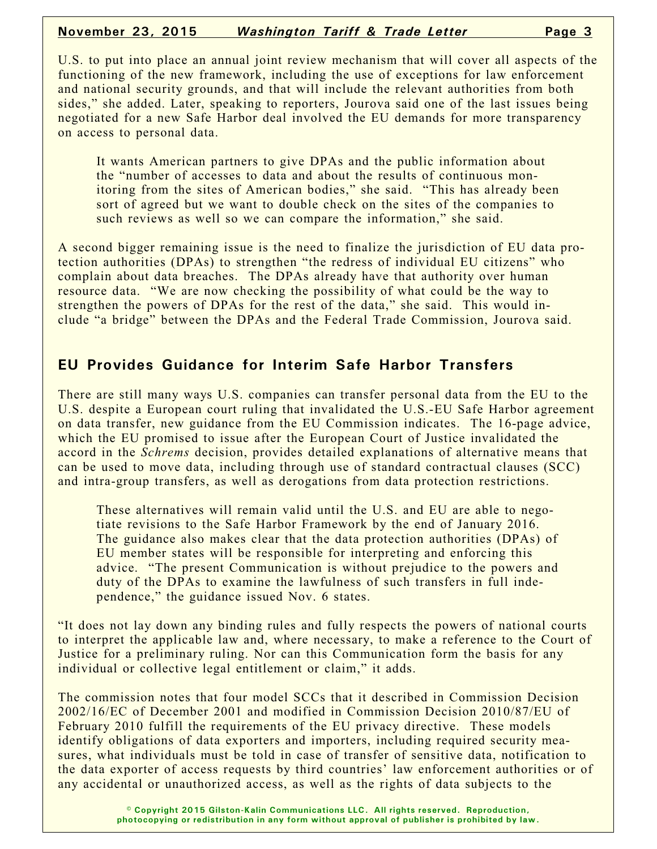U.S. to put into place an annual joint review mechanism that will cover all aspects of the functioning of the new framework, including the use of exceptions for law enforcement and national security grounds, and that will include the relevant authorities from both sides," she added. Later, speaking to reporters, Jourova said one of the last issues being negotiated for a new Safe Harbor deal involved the EU demands for more transparency on access to personal data.

It wants American partners to give DPAs and the public information about the "number of accesses to data and about the results of continuous monitoring from the sites of American bodies," she said. "This has already been sort of agreed but we want to double check on the sites of the companies to such reviews as well so we can compare the information," she said.

A second bigger remaining issue is the need to finalize the jurisdiction of EU data protection authorities (DPAs) to strengthen "the redress of individual EU citizens" who complain about data breaches. The DPAs already have that authority over human resource data. "We are now checking the possibility of what could be the way to strengthen the powers of DPAs for the rest of the data," she said. This would include "a bridge" between the DPAs and the Federal Trade Commission, Jourova said.

## **EU Provides Guidance for Interim Safe Harbor Transfers**

There are still many ways U.S. companies can transfer personal data from the EU to the U.S. despite a European court ruling that invalidated the U.S.-EU Safe Harbor agreement on data transfer, new guidance from the EU Commission indicates. The 16-page advice, which the EU promised to issue after the European Court of Justice invalidated the accord in the *Schrems* decision, provides detailed explanations of alternative means that can be used to move data, including through use of standard contractual clauses (SCC) and intra-group transfers, as well as derogations from data protection restrictions.

These alternatives will remain valid until the U.S. and EU are able to negotiate revisions to the Safe Harbor Framework by the end of January 2016. The guidance also makes clear that the data protection authorities (DPAs) of EU member states will be responsible for interpreting and enforcing this advice. "The present Communication is without prejudice to the powers and duty of the DPAs to examine the lawfulness of such transfers in full independence," the guidance issued Nov. 6 states.

"It does not lay down any binding rules and fully respects the powers of national courts to interpret the applicable law and, where necessary, to make a reference to the Court of Justice for a preliminary ruling. Nor can this Communication form the basis for any individual or collective legal entitlement or claim," it adds.

The commission notes that four model SCCs that it described in Commission Decision 2002/16/EC of December 2001 and modified in Commission Decision 2010/87/EU of February 2010 fulfill the requirements of the EU privacy directive. These models identify obligations of data exporters and importers, including required security measures, what individuals must be told in case of transfer of sensitive data, notification to the data exporter of access requests by third countries' law enforcement authorities or of any accidental or unauthorized access, as well as the rights of data subjects to the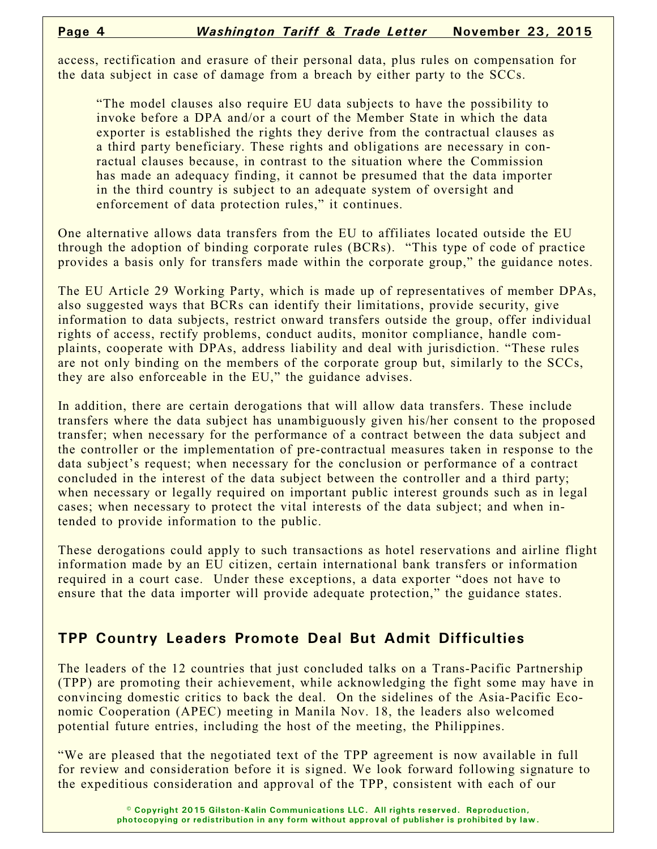access, rectification and erasure of their personal data, plus rules on compensation for the data subject in case of damage from a breach by either party to the SCCs.

"The model clauses also require EU data subjects to have the possibility to invoke before a DPA and/or a court of the Member State in which the data exporter is established the rights they derive from the contractual clauses as a third party beneficiary. These rights and obligations are necessary in conractual clauses because, in contrast to the situation where the Commission has made an adequacy finding, it cannot be presumed that the data importer in the third country is subject to an adequate system of oversight and enforcement of data protection rules," it continues.

One alternative allows data transfers from the EU to affiliates located outside the EU through the adoption of binding corporate rules (BCRs). "This type of code of practice provides a basis only for transfers made within the corporate group," the guidance notes.

The EU Article 29 Working Party, which is made up of representatives of member DPAs, also suggested ways that BCRs can identify their limitations, provide security, give information to data subjects, restrict onward transfers outside the group, offer individual rights of access, rectify problems, conduct audits, monitor compliance, handle complaints, cooperate with DPAs, address liability and deal with jurisdiction. "These rules are not only binding on the members of the corporate group but, similarly to the SCCs, they are also enforceable in the EU," the guidance advises.

In addition, there are certain derogations that will allow data transfers. These include transfers where the data subject has unambiguously given his/her consent to the proposed transfer; when necessary for the performance of a contract between the data subject and the controller or the implementation of pre-contractual measures taken in response to the data subject's request; when necessary for the conclusion or performance of a contract concluded in the interest of the data subject between the controller and a third party; when necessary or legally required on important public interest grounds such as in legal cases; when necessary to protect the vital interests of the data subject; and when intended to provide information to the public.

These derogations could apply to such transactions as hotel reservations and airline flight information made by an EU citizen, certain international bank transfers or information required in a court case. Under these exceptions, a data exporter "does not have to ensure that the data importer will provide adequate protection," the guidance states.

# **TPP Country Leaders Promote Deal But Admit Difficulties**

The leaders of the 12 countries that just concluded talks on a Trans-Pacific Partnership (TPP) are promoting their achievement, while acknowledging the fight some may have in convincing domestic critics to back the deal. On the sidelines of the Asia-Pacific Economic Cooperation (APEC) meeting in Manila Nov. 18, the leaders also welcomed potential future entries, including the host of the meeting, the Philippines.

"We are pleased that the negotiated text of the TPP agreement is now available in full for review and consideration before it is signed. We look forward following signature to the expeditious consideration and approval of the TPP, consistent with each of our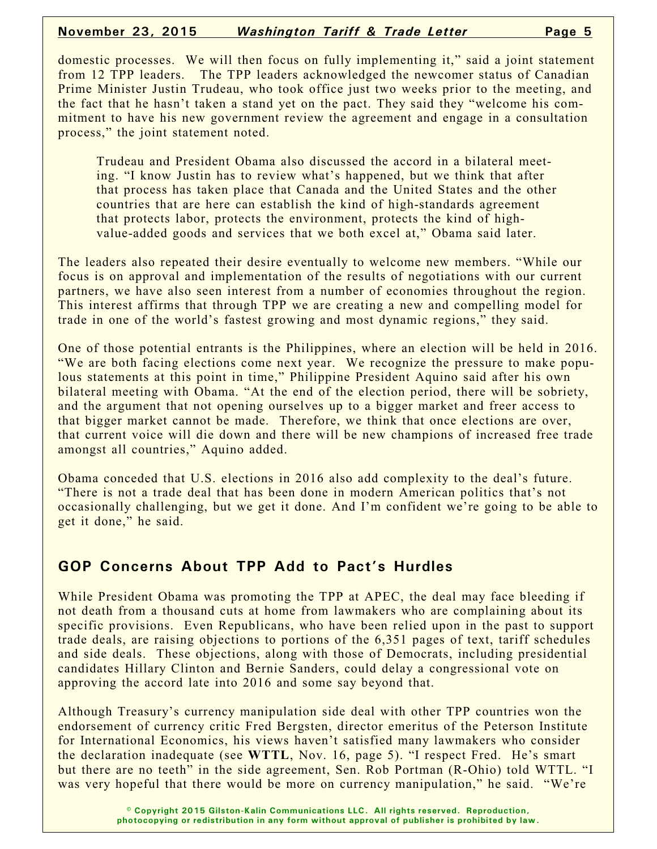domestic processes. We will then focus on fully implementing it," said a joint statement from 12 TPP leaders. The TPP leaders acknowledged the newcomer status of Canadian Prime Minister Justin Trudeau, who took office just two weeks prior to the meeting, and the fact that he hasn't taken a stand yet on the pact. They said they "welcome his commitment to have his new government review the agreement and engage in a consultation process," the joint statement noted.

Trudeau and President Obama also discussed the accord in a bilateral meeting. "I know Justin has to review what's happened, but we think that after that process has taken place that Canada and the United States and the other countries that are here can establish the kind of high-standards agreement that protects labor, protects the environment, protects the kind of highvalue-added goods and services that we both excel at," Obama said later.

The leaders also repeated their desire eventually to welcome new members. "While our focus is on approval and implementation of the results of negotiations with our current partners, we have also seen interest from a number of economies throughout the region. This interest affirms that through TPP we are creating a new and compelling model for trade in one of the world's fastest growing and most dynamic regions," they said.

One of those potential entrants is the Philippines, where an election will be held in 2016. "We are both facing elections come next year. We recognize the pressure to make populous statements at this point in time," Philippine President Aquino said after his own bilateral meeting with Obama. "At the end of the election period, there will be sobriety, and the argument that not opening ourselves up to a bigger market and freer access to that bigger market cannot be made. Therefore, we think that once elections are over, that current voice will die down and there will be new champions of increased free trade amongst all countries," Aquino added.

Obama conceded that U.S. elections in 2016 also add complexity to the deal's future. "There is not a trade deal that has been done in modern American politics that's not occasionally challenging, but we get it done. And I'm confident we're going to be able to get it done," he said.

## **GOP Concerns About TPP Add to Pact's Hurdles**

While President Obama was promoting the TPP at APEC, the deal may face bleeding if not death from a thousand cuts at home from lawmakers who are complaining about its specific provisions. Even Republicans, who have been relied upon in the past to support trade deals, are raising objections to portions of the 6,351 pages of text, tariff schedules and side deals. These objections, along with those of Democrats, including presidential candidates Hillary Clinton and Bernie Sanders, could delay a congressional vote on approving the accord late into 2016 and some say beyond that.

Although Treasury's currency manipulation side deal with other TPP countries won the endorsement of currency critic Fred Bergsten, director emeritus of the Peterson Institute for International Economics, his views haven't satisfied many lawmakers who consider the declaration inadequate (see **WTTL**, Nov. 16, page 5). "I respect Fred. He's smart but there are no teeth" in the side agreement, Sen. Rob Portman (R-Ohio) told WTTL. "I was very hopeful that there would be more on currency manipulation," he said. "We're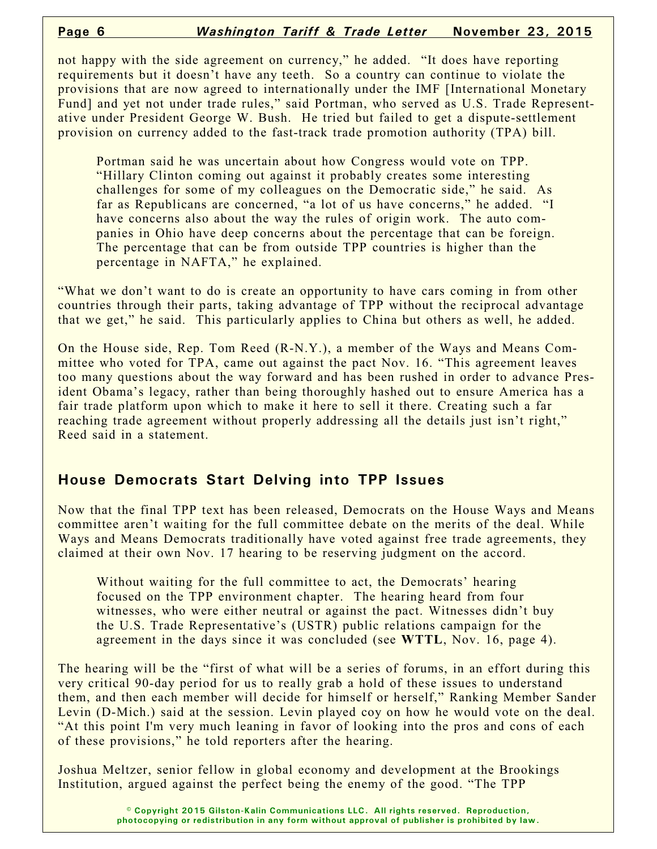not happy with the side agreement on currency," he added. "It does have reporting requirements but it doesn't have any teeth. So a country can continue to violate the provisions that are now agreed to internationally under the IMF [International Monetary Fund] and yet not under trade rules," said Portman, who served as U.S. Trade Representative under President George W. Bush. He tried but failed to get a dispute-settlement provision on currency added to the fast-track trade promotion authority (TPA) bill.

Portman said he was uncertain about how Congress would vote on TPP. "Hillary Clinton coming out against it probably creates some interesting challenges for some of my colleagues on the Democratic side," he said. As far as Republicans are concerned, "a lot of us have concerns," he added. "I have concerns also about the way the rules of origin work. The auto companies in Ohio have deep concerns about the percentage that can be foreign. The percentage that can be from outside TPP countries is higher than the percentage in NAFTA," he explained.

"What we don't want to do is create an opportunity to have cars coming in from other countries through their parts, taking advantage of TPP without the reciprocal advantage that we get," he said. This particularly applies to China but others as well, he added.

On the House side, Rep. Tom Reed (R-N.Y.), a member of the Ways and Means Committee who voted for TPA, came out against the pact Nov. 16. "This agreement leaves too many questions about the way forward and has been rushed in order to advance President Obama's legacy, rather than being thoroughly hashed out to ensure America has a fair trade platform upon which to make it here to sell it there. Creating such a far reaching trade agreement without properly addressing all the details just isn't right," Reed said in a statement.

## **House Democrats Start Delving into TPP Issues**

Now that the final TPP text has been released, Democrats on the House Ways and Means committee aren't waiting for the full committee debate on the merits of the deal. While Ways and Means Democrats traditionally have voted against free trade agreements, they claimed at their own Nov. 17 hearing to be reserving judgment on the accord.

Without waiting for the full committee to act, the Democrats' hearing focused on the TPP environment chapter. The hearing heard from four witnesses, who were either neutral or against the pact. Witnesses didn't buy the U.S. Trade Representative's (USTR) public relations campaign for the agreement in the days since it was concluded (see **WTTL**, Nov. 16, page 4).

The hearing will be the "first of what will be a series of forums, in an effort during this very critical 90-day period for us to really grab a hold of these issues to understand them, and then each member will decide for himself or herself," Ranking Member Sander Levin (D-Mich.) said at the session. Levin played coy on how he would vote on the deal. "At this point I'm very much leaning in favor of looking into the pros and cons of each of these provisions," he told reporters after the hearing.

Joshua Meltzer, senior fellow in global economy and development at the Brookings Institution, argued against the perfect being the enemy of the good. "The TPP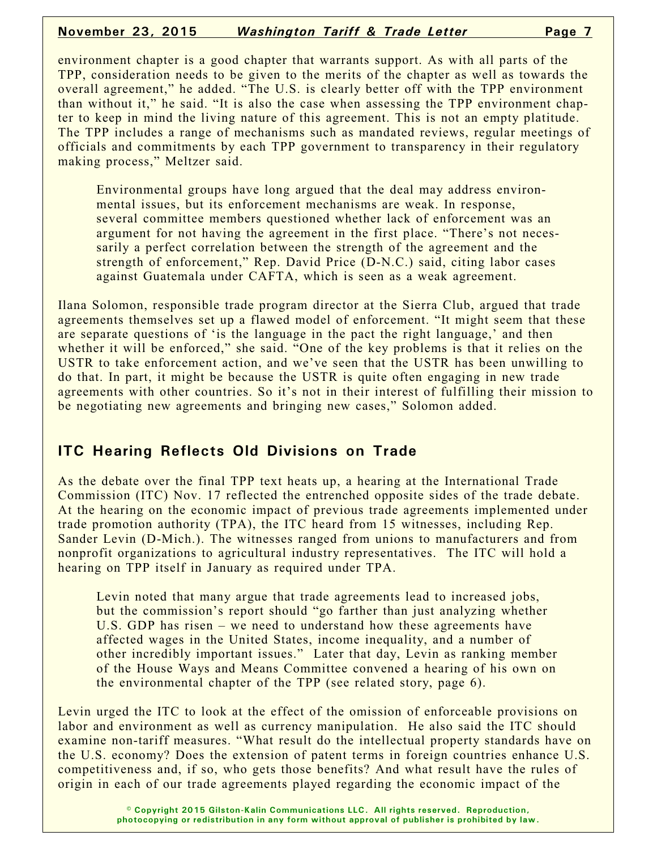environment chapter is a good chapter that warrants support. As with all parts of the TPP, consideration needs to be given to the merits of the chapter as well as towards the overall agreement," he added. "The U.S. is clearly better off with the TPP environment than without it," he said. "It is also the case when assessing the TPP environment chapter to keep in mind the living nature of this agreement. This is not an empty platitude. The TPP includes a range of mechanisms such as mandated reviews, regular meetings of officials and commitments by each TPP government to transparency in their regulatory making process," Meltzer said.

Environmental groups have long argued that the deal may address environmental issues, but its enforcement mechanisms are weak. In response, several committee members questioned whether lack of enforcement was an argument for not having the agreement in the first place. "There's not necessarily a perfect correlation between the strength of the agreement and the strength of enforcement," Rep. David Price (D-N.C.) said, citing labor cases against Guatemala under CAFTA, which is seen as a weak agreement.

Ilana Solomon, responsible trade program director at the Sierra Club, argued that trade agreements themselves set up a flawed model of enforcement. "It might seem that these are separate questions of 'is the language in the pact the right language,' and then whether it will be enforced," she said. "One of the key problems is that it relies on the USTR to take enforcement action, and we've seen that the USTR has been unwilling to do that. In part, it might be because the USTR is quite often engaging in new trade agreements with other countries. So it's not in their interest of fulfilling their mission to be negotiating new agreements and bringing new cases," Solomon added.

## **ITC Hearing Reflects Old Divisions on Trade**

As the debate over the final TPP text heats up, a hearing at the International Trade Commission (ITC) Nov. 17 reflected the entrenched opposite sides of the trade debate. At the hearing on the economic impact of previous trade agreements implemented under trade promotion authority (TPA), the ITC heard from 15 witnesses, including Rep. Sander Levin (D-Mich.). The witnesses ranged from unions to manufacturers and from nonprofit organizations to agricultural industry representatives. The ITC will hold a hearing on TPP itself in January as required under TPA.

Levin noted that many argue that trade agreements lead to increased jobs, but the commission's report should "go farther than just analyzing whether U.S. GDP has risen – we need to understand how these agreements have affected wages in the United States, income inequality, and a number of other incredibly important issues." Later that day, Levin as ranking member of the House Ways and Means Committee convened a hearing of his own on the environmental chapter of the TPP (see related story, page 6).

Levin urged the ITC to look at the effect of the omission of enforceable provisions on labor and environment as well as currency manipulation. He also said the ITC should examine non-tariff measures. "What result do the intellectual property standards have on the U.S. economy? Does the extension of patent terms in foreign countries enhance U.S. competitiveness and, if so, who gets those benefits? And what result have the rules of origin in each of our trade agreements played regarding the economic impact of the

> **© Copyright 2015 Gilston-Kalin Communications LLC. All rights reserved. Reproduction, photocopying or redistribution in any form without approval of publisher is prohibited by law.**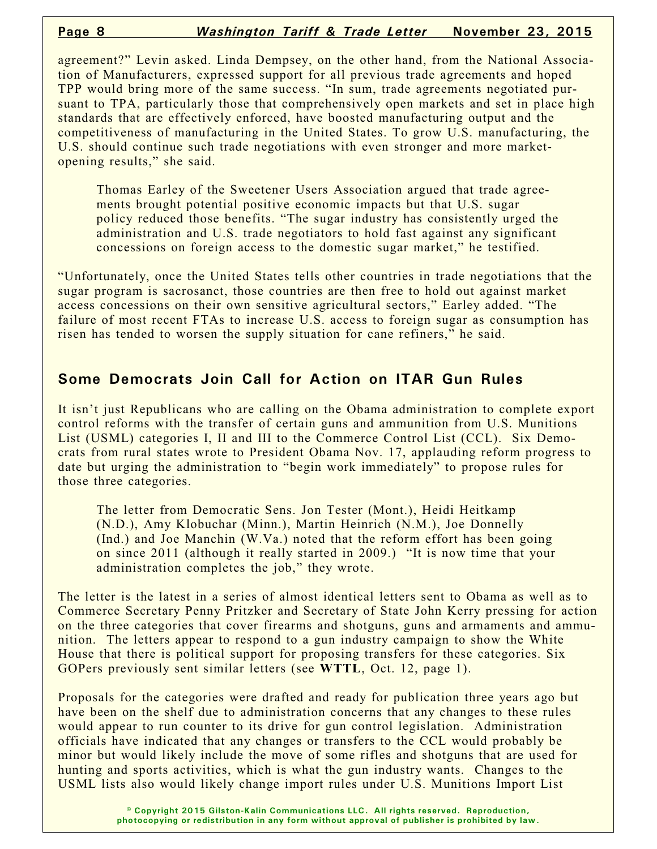agreement?" Levin asked. Linda Dempsey, on the other hand, from the National Association of Manufacturers, expressed support for all previous trade agreements and hoped TPP would bring more of the same success. "In sum, trade agreements negotiated pursuant to TPA, particularly those that comprehensively open markets and set in place high standards that are effectively enforced, have boosted manufacturing output and the competitiveness of manufacturing in the United States. To grow U.S. manufacturing, the U.S. should continue such trade negotiations with even stronger and more marketopening results," she said.

Thomas Earley of the Sweetener Users Association argued that trade agreements brought potential positive economic impacts but that U.S. sugar policy reduced those benefits. "The sugar industry has consistently urged the administration and U.S. trade negotiators to hold fast against any significant concessions on foreign access to the domestic sugar market," he testified.

"Unfortunately, once the United States tells other countries in trade negotiations that the sugar program is sacrosanct, those countries are then free to hold out against market access concessions on their own sensitive agricultural sectors," Earley added. "The failure of most recent FTAs to increase U.S. access to foreign sugar as consumption has risen has tended to worsen the supply situation for cane refiners," he said.

## **Some Democrats Join Call for Action on ITAR Gun Rules**

It isn't just Republicans who are calling on the Obama administration to complete export control reforms with the transfer of certain guns and ammunition from U.S. Munitions List (USML) categories I, II and III to the Commerce Control List (CCL). Six Democrats from rural states wrote to President Obama Nov. 17, applauding reform progress to date but urging the administration to "begin work immediately" to propose rules for those three categories.

The letter from Democratic Sens. Jon Tester (Mont.), Heidi Heitkamp (N.D.), Amy Klobuchar (Minn.), Martin Heinrich (N.M.), Joe Donnelly (Ind.) and Joe Manchin (W.Va.) noted that the reform effort has been going on since 2011 (although it really started in 2009.) "It is now time that your administration completes the job," they wrote.

The letter is the latest in a series of almost identical letters sent to Obama as well as to Commerce Secretary Penny Pritzker and Secretary of State John Kerry pressing for action on the three categories that cover firearms and shotguns, guns and armaments and ammunition. The letters appear to respond to a gun industry campaign to show the White House that there is political support for proposing transfers for these categories. Six GOPers previously sent similar letters (see **WTTL**, Oct. 12, page 1).

Proposals for the categories were drafted and ready for publication three years ago but have been on the shelf due to administration concerns that any changes to these rules would appear to run counter to its drive for gun control legislation. Administration officials have indicated that any changes or transfers to the CCL would probably be minor but would likely include the move of some rifles and shotguns that are used for hunting and sports activities, which is what the gun industry wants. Changes to the USML lists also would likely change import rules under U.S. Munitions Import List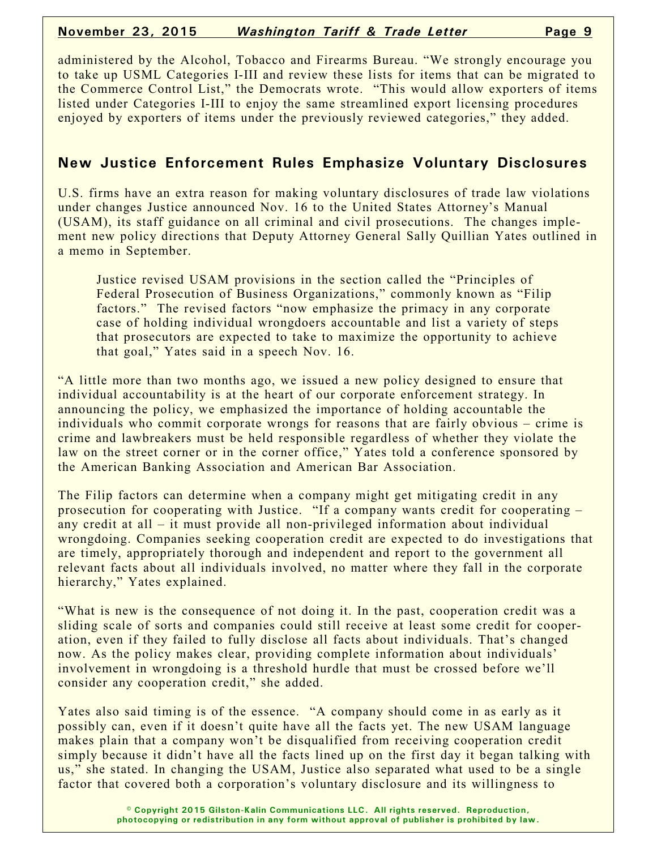administered by the Alcohol, Tobacco and Firearms Bureau. "We strongly encourage you to take up USML Categories I-III and review these lists for items that can be migrated to the Commerce Control List," the Democrats wrote. "This would allow exporters of items listed under Categories I-III to enjoy the same streamlined export licensing procedures enjoyed by exporters of items under the previously reviewed categories," they added.

### **New Justice Enforcement Rules Emphasize Voluntary Disclosures**

U.S. firms have an extra reason for making voluntary disclosures of trade law violations under changes Justice announced Nov. 16 to the United States Attorney's Manual (USAM), its staff guidance on all criminal and civil prosecutions. The changes implement new policy directions that Deputy Attorney General Sally Quillian Yates outlined in a memo in September.

Justice revised USAM provisions in the section called the "Principles of Federal Prosecution of Business Organizations," commonly known as "Filip factors." The revised factors "now emphasize the primacy in any corporate case of holding individual wrongdoers accountable and list a variety of steps that prosecutors are expected to take to maximize the opportunity to achieve that goal," Yates said in a speech Nov. 16.

"A little more than two months ago, we issued a new policy designed to ensure that individual accountability is at the heart of our corporate enforcement strategy. In announcing the policy, we emphasized the importance of holding accountable the individuals who commit corporate wrongs for reasons that are fairly obvious – crime is crime and lawbreakers must be held responsible regardless of whether they violate the law on the street corner or in the corner office," Yates told a conference sponsored by the American Banking Association and American Bar Association.

The Filip factors can determine when a company might get mitigating credit in any prosecution for cooperating with Justice. "If a company wants credit for cooperating – any credit at all – it must provide all non-privileged information about individual wrongdoing. Companies seeking cooperation credit are expected to do investigations that are timely, appropriately thorough and independent and report to the government all relevant facts about all individuals involved, no matter where they fall in the corporate hierarchy," Yates explained.

"What is new is the consequence of not doing it. In the past, cooperation credit was a sliding scale of sorts and companies could still receive at least some credit for cooperation, even if they failed to fully disclose all facts about individuals. That's changed now. As the policy makes clear, providing complete information about individuals' involvement in wrongdoing is a threshold hurdle that must be crossed before we'll consider any cooperation credit," she added.

Yates also said timing is of the essence. "A company should come in as early as it possibly can, even if it doesn't quite have all the facts yet. The new USAM language makes plain that a company won't be disqualified from receiving cooperation credit simply because it didn't have all the facts lined up on the first day it began talking with us," she stated. In changing the USAM, Justice also separated what used to be a single factor that covered both a corporation's voluntary disclosure and its willingness to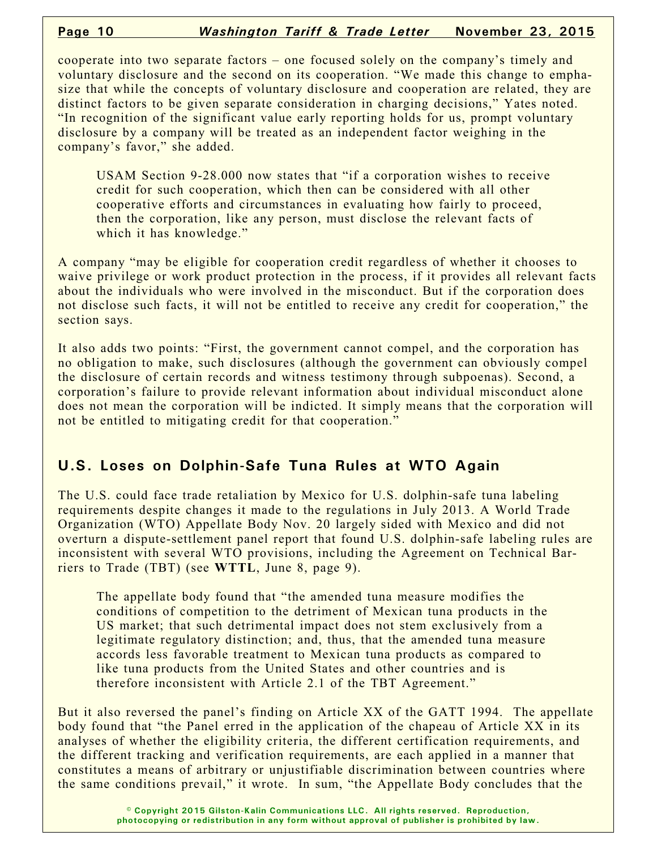cooperate into two separate factors – one focused solely on the company's timely and voluntary disclosure and the second on its cooperation. "We made this change to emphasize that while the concepts of voluntary disclosure and cooperation are related, they are distinct factors to be given separate consideration in charging decisions," Yates noted. "In recognition of the significant value early reporting holds for us, prompt voluntary disclosure by a company will be treated as an independent factor weighing in the company's favor," she added.

USAM Section 9-28.000 now states that "if a corporation wishes to receive credit for such cooperation, which then can be considered with all other cooperative efforts and circumstances in evaluating how fairly to proceed, then the corporation, like any person, must disclose the relevant facts of which it has knowledge."

A company "may be eligible for cooperation credit regardless of whether it chooses to waive privilege or work product protection in the process, if it provides all relevant facts about the individuals who were involved in the misconduct. But if the corporation does not disclose such facts, it will not be entitled to receive any credit for cooperation," the section says.

It also adds two points: "First, the government cannot compel, and the corporation has no obligation to make, such disclosures (although the government can obviously compel the disclosure of certain records and witness testimony through subpoenas). Second, a corporation's failure to provide relevant information about individual misconduct alone does not mean the corporation will be indicted. It simply means that the corporation will not be entitled to mitigating credit for that cooperation."

# **U.S. Loses on Dolphin-Safe Tuna Rules at WTO Again**

The U.S. could face trade retaliation by Mexico for U.S. dolphin-safe tuna labeling requirements despite changes it made to the regulations in July 2013. A World Trade Organization (WTO) Appellate Body Nov. 20 largely sided with Mexico and did not overturn a dispute-settlement panel report that found U.S. dolphin-safe labeling rules are inconsistent with several WTO provisions, including the Agreement on Technical Barriers to Trade (TBT) (see **WTTL**, June 8, page 9).

The appellate body found that "the amended tuna measure modifies the conditions of competition to the detriment of Mexican tuna products in the US market; that such detrimental impact does not stem exclusively from a legitimate regulatory distinction; and, thus, that the amended tuna measure accords less favorable treatment to Mexican tuna products as compared to like tuna products from the United States and other countries and is therefore inconsistent with Article 2.1 of the TBT Agreement."

But it also reversed the panel's finding on Article XX of the GATT 1994. The appellate body found that "the Panel erred in the application of the chapeau of Article XX in its analyses of whether the eligibility criteria, the different certification requirements, and the different tracking and verification requirements, are each applied in a manner that constitutes a means of arbitrary or unjustifiable discrimination between countries where the same conditions prevail," it wrote. In sum, "the Appellate Body concludes that the